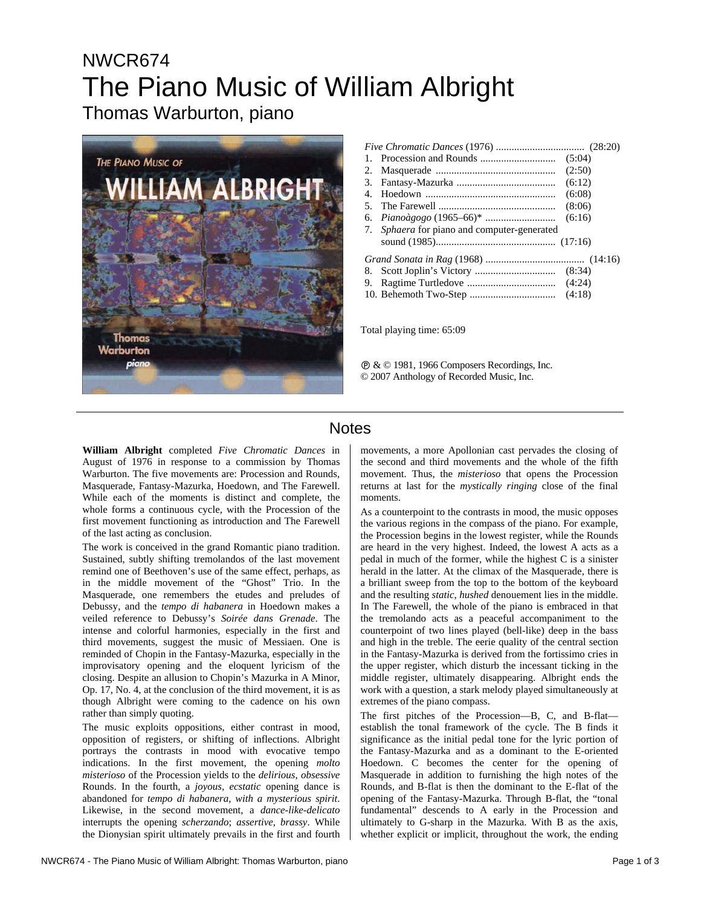# NWCR674 The Piano Music of William Albright Thomas Warburton, piano



|                                                 | (5:04) |
|-------------------------------------------------|--------|
|                                                 | (2:50) |
|                                                 | (6:12) |
|                                                 | (6:08) |
|                                                 | (8:06) |
|                                                 | (6:16) |
| <i>Sphaera</i> for piano and computer-generated |        |
|                                                 |        |
|                                                 |        |
|                                                 | (8:34) |
|                                                 | (4:24) |
|                                                 | (4:18) |
|                                                 |        |
|                                                 |        |

Total playing time: 65:09

Ê & © 1981, 1966 Composers Recordings, Inc. © 2007 Anthology of Recorded Music, Inc.

### **Notes**

**William Albright** completed *Five Chromatic Dances* in August of 1976 in response to a commission by Thomas Warburton. The five movements are: Procession and Rounds, Masquerade, Fantasy-Mazurka, Hoedown, and The Farewell. While each of the moments is distinct and complete, the whole forms a continuous cycle, with the Procession of the first movement functioning as introduction and The Farewell of the last acting as conclusion.

The work is conceived in the grand Romantic piano tradition. Sustained, subtly shifting tremolandos of the last movement remind one of Beethoven's use of the same effect, perhaps, as in the middle movement of the "Ghost" Trio. In the Masquerade, one remembers the etudes and preludes of Debussy, and the *tempo di habanera* in Hoedown makes a veiled reference to Debussy's *Soirée dans Grenade*. The intense and colorful harmonies, especially in the first and third movements, suggest the music of Messiaen. One is reminded of Chopin in the Fantasy-Mazurka, especially in the improvisatory opening and the eloquent lyricism of the closing. Despite an allusion to Chopin's Mazurka in A Minor, Op. 17, No. 4, at the conclusion of the third movement, it is as though Albright were coming to the cadence on his own rather than simply quoting.

The music exploits oppositions, either contrast in mood, opposition of registers, or shifting of inflections. Albright portrays the contrasts in mood with evocative tempo indications. In the first movement, the opening *molto misterioso* of the Procession yields to the *delirious*, *obsessive*  Rounds. In the fourth, a *joyous, ecstatic* opening dance is abandoned for *tempo di habanera, with a mysterious spirit*. Likewise, in the second movement, a *dance-like-delicato* interrupts the opening *scherzando*; *assertive, brassy*. While the Dionysian spirit ultimately prevails in the first and fourth movements, a more Apollonian cast pervades the closing of the second and third movements and the whole of the fifth movement. Thus, the *misterioso* that opens the Procession returns at last for the *mystically ringing* close of the final moments.

As a counterpoint to the contrasts in mood, the music opposes the various regions in the compass of the piano. For example, the Procession begins in the lowest register, while the Rounds are heard in the very highest. Indeed, the lowest A acts as a pedal in much of the former, while the highest C is a sinister herald in the latter. At the climax of the Masquerade, there is a brilliant sweep from the top to the bottom of the keyboard and the resulting *static*, *hushed* denouement lies in the middle. In The Farewell, the whole of the piano is embraced in that the tremolando acts as a peaceful accompaniment to the counterpoint of two lines played (bell-like) deep in the bass and high in the treble. The eerie quality of the central section in the Fantasy-Mazurka is derived from the fortissimo cries in the upper register, which disturb the incessant ticking in the middle register, ultimately disappearing. Albright ends the work with a question, a stark melody played simultaneously at extremes of the piano compass.

The first pitches of the Procession—B, C, and B-flat establish the tonal framework of the cycle. The B finds it significance as the initial pedal tone for the lyric portion of the Fantasy-Mazurka and as a dominant to the E-oriented Hoedown. C becomes the center for the opening of Masquerade in addition to furnishing the high notes of the Rounds, and B-flat is then the dominant to the E-flat of the opening of the Fantasy-Mazurka. Through B-flat, the "tonal fundamental" descends to A early in the Procession and ultimately to G-sharp in the Mazurka. With B as the axis, whether explicit or implicit, throughout the work, the ending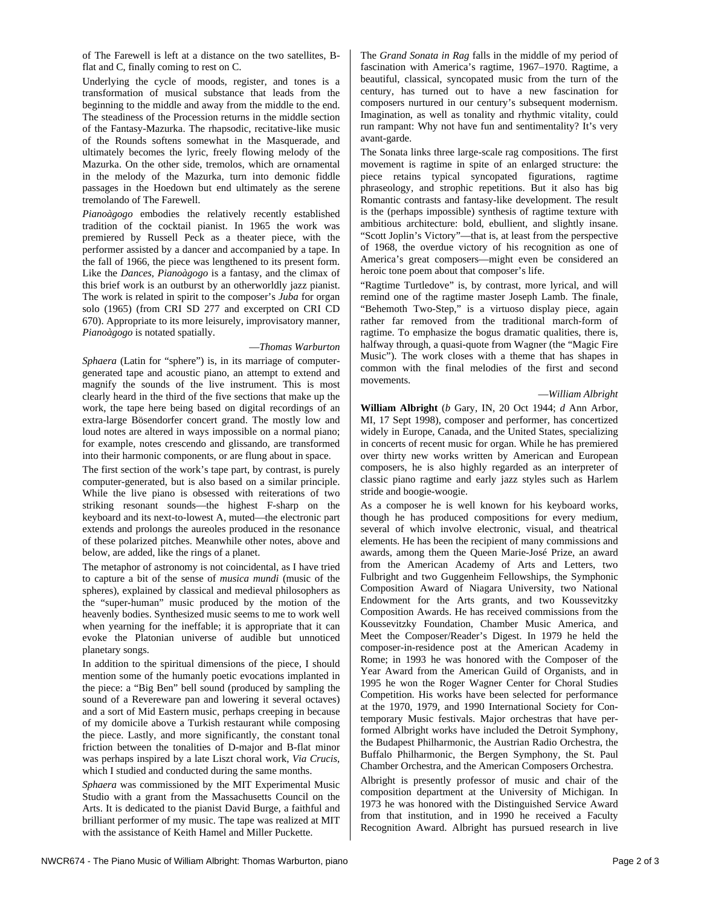of The Farewell is left at a distance on the two satellites, Bflat and C, finally coming to rest on C.

Underlying the cycle of moods, register, and tones is a transformation of musical substance that leads from the beginning to the middle and away from the middle to the end. The steadiness of the Procession returns in the middle section of the Fantasy-Mazurka. The rhapsodic, recitative-like music of the Rounds softens somewhat in the Masquerade, and ultimately becomes the lyric, freely flowing melody of the Mazurka. On the other side, tremolos, which are ornamental in the melody of the Mazurka, turn into demonic fiddle passages in the Hoedown but end ultimately as the serene tremolando of The Farewell.

*Pianoàgogo* embodies the relatively recently established tradition of the cocktail pianist. In 1965 the work was premiered by Russell Peck as a theater piece, with the performer assisted by a dancer and accompanied by a tape. In the fall of 1966, the piece was lengthened to its present form. Like the *Dances*, *Pianoàgogo* is a fantasy, and the climax of this brief work is an outburst by an otherworldly jazz pianist. The work is related in spirit to the composer's *Juba* for organ solo (1965) (from CRI SD 277 and excerpted on CRI CD 670). Appropriate to its more leisurely, improvisatory manner, *Pianoàgogo* is notated spatially.

#### —*Thomas Warburton*

*Sphaera* (Latin for "sphere") is, in its marriage of computergenerated tape and acoustic piano, an attempt to extend and magnify the sounds of the live instrument. This is most clearly heard in the third of the five sections that make up the work, the tape here being based on digital recordings of an extra-large Bösendorfer concert grand. The mostly low and loud notes are altered in ways impossible on a normal piano; for example, notes crescendo and glissando, are transformed into their harmonic components, or are flung about in space.

The first section of the work's tape part, by contrast, is purely computer-generated, but is also based on a similar principle. While the live piano is obsessed with reiterations of two striking resonant sounds—the highest F-sharp on the keyboard and its next-to-lowest A, muted—the electronic part extends and prolongs the aureoles produced in the resonance of these polarized pitches. Meanwhile other notes, above and below, are added, like the rings of a planet.

The metaphor of astronomy is not coincidental, as I have tried to capture a bit of the sense of *musica mundi* (music of the spheres), explained by classical and medieval philosophers as the "super-human" music produced by the motion of the heavenly bodies. Synthesized music seems to me to work well when yearning for the ineffable; it is appropriate that it can evoke the Platonian universe of audible but unnoticed planetary songs.

In addition to the spiritual dimensions of the piece, I should mention some of the humanly poetic evocations implanted in the piece: a "Big Ben" bell sound (produced by sampling the sound of a Revereware pan and lowering it several octaves) and a sort of Mid Eastern music, perhaps creeping in because of my domicile above a Turkish restaurant while composing the piece. Lastly, and more significantly, the constant tonal friction between the tonalities of D-major and B-flat minor was perhaps inspired by a late Liszt choral work, *Via Crucis*, which I studied and conducted during the same months.

*Sphaera* was commissioned by the MIT Experimental Music Studio with a grant from the Massachusetts Council on the Arts. It is dedicated to the pianist David Burge, a faithful and brilliant performer of my music. The tape was realized at MIT with the assistance of Keith Hamel and Miller Puckette.

The *Grand Sonata in Rag* falls in the middle of my period of fascination with America's ragtime, 1967–1970. Ragtime, a beautiful, classical, syncopated music from the turn of the century, has turned out to have a new fascination for composers nurtured in our century's subsequent modernism. Imagination, as well as tonality and rhythmic vitality, could run rampant: Why not have fun and sentimentality? It's very avant-garde.

The Sonata links three large-scale rag compositions. The first movement is ragtime in spite of an enlarged structure: the piece retains typical syncopated figurations, ragtime phraseology, and strophic repetitions. But it also has big Romantic contrasts and fantasy-like development. The result is the (perhaps impossible) synthesis of ragtime texture with ambitious architecture: bold, ebullient, and slightly insane. "Scott Joplin's Victory"—that is, at least from the perspective of 1968, the overdue victory of his recognition as one of America's great composers—might even be considered an heroic tone poem about that composer's life.

"Ragtime Turtledove" is, by contrast, more lyrical, and will remind one of the ragtime master Joseph Lamb. The finale, "Behemoth Two-Step," is a virtuoso display piece, again rather far removed from the traditional march-form of ragtime. To emphasize the bogus dramatic qualities, there is, halfway through, a quasi-quote from Wagner (the "Magic Fire Music"). The work closes with a theme that has shapes in common with the final melodies of the first and second movements.

#### —*William Albright*

**William Albright** (*b* Gary, IN, 20 Oct 1944; *d* Ann Arbor, MI, 17 Sept 1998), composer and performer, has concertized widely in Europe, Canada, and the United States, specializing in concerts of recent music for organ. While he has premiered over thirty new works written by American and European composers, he is also highly regarded as an interpreter of classic piano ragtime and early jazz styles such as Harlem stride and boogie-woogie.

As a composer he is well known for his keyboard works, though he has produced compositions for every medium, several of which involve electronic, visual, and theatrical elements. He has been the recipient of many commissions and awards, among them the Queen Marie-José Prize, an award from the American Academy of Arts and Letters, two Fulbright and two Guggenheim Fellowships, the Symphonic Composition Award of Niagara University, two National Endowment for the Arts grants, and two Koussevitzky Composition Awards. He has received commissions from the Koussevitzky Foundation, Chamber Music America, and Meet the Composer/Reader's Digest. In 1979 he held the composer-in-residence post at the American Academy in Rome; in 1993 he was honored with the Composer of the Year Award from the American Guild of Organists, and in 1995 he won the Roger Wagner Center for Choral Studies Competition. His works have been selected for performance at the 1970, 1979, and 1990 International Society for Contemporary Music festivals. Major orchestras that have performed Albright works have included the Detroit Symphony, the Budapest Philharmonic, the Austrian Radio Orchestra, the Buffalo Philharmonic, the Bergen Symphony, the St. Paul Chamber Orchestra, and the American Composers Orchestra.

Albright is presently professor of music and chair of the composition department at the University of Michigan. In 1973 he was honored with the Distinguished Service Award from that institution, and in 1990 he received a Faculty Recognition Award. Albright has pursued research in live